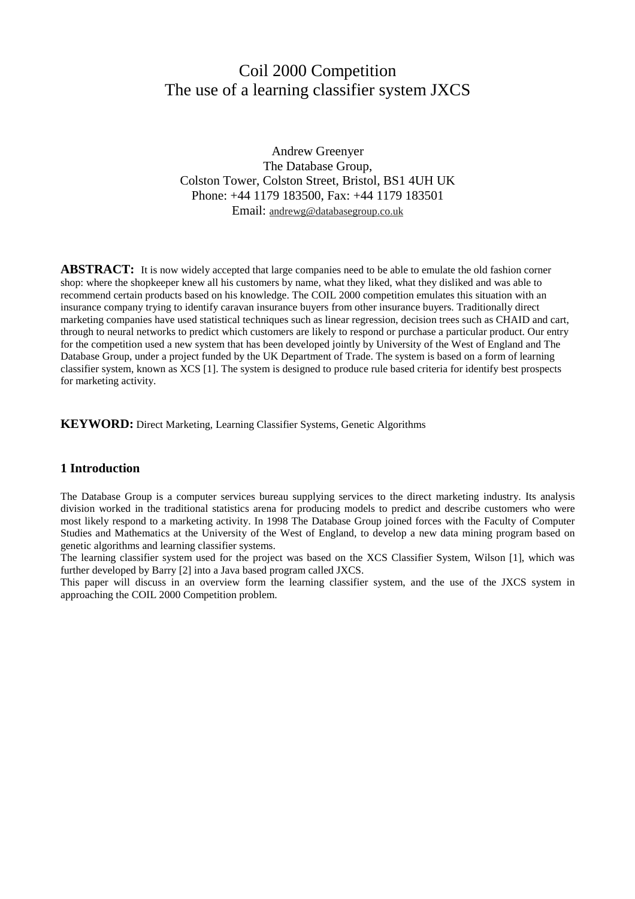# Coil 2000 Competition The use of a learning classifier system JXCS

Andrew Greenyer The Database Group, Colston Tower, Colston Street, Bristol, BS1 4UH UK Phone: +44 1179 183500, Fax: +44 1179 183501 Email: andrewg@databasegroup.co.uk

ABSTRACT: It is now widely accepted that large companies need to be able to emulate the old fashion corner shop: where the shopkeeper knew all his customers by name, what they liked, what they disliked and was able to recommend certain products based on his knowledge. The COIL 2000 competition emulates this situation with an insurance company trying to identify caravan insurance buyers from other insurance buyers. Traditionally direct marketing companies have used statistical techniques such as linear regression, decision trees such as CHAID and cart, through to neural networks to predict which customers are likely to respond or purchase a particular product. Our entry for the competition used a new system that has been developed jointly by University of the West of England and The Database Group, under a project funded by the UK Department of Trade. The system is based on a form of learning classifier system, known as XCS [1]. The system is designed to produce rule based criteria for identify best prospects for marketing activity.

**KEYWORD:** Direct Marketing, Learning Classifier Systems, Genetic Algorithms

## **1 Introduction**

The Database Group is a computer services bureau supplying services to the direct marketing industry. Its analysis division worked in the traditional statistics arena for producing models to predict and describe customers who were most likely respond to a marketing activity. In 1998 The Database Group joined forces with the Faculty of Computer Studies and Mathematics at the University of the West of England, to develop a new data mining program based on genetic algorithms and learning classifier systems.

The learning classifier system used for the project was based on the XCS Classifier System, Wilson [1], which was further developed by Barry [2] into a Java based program called JXCS.

This paper will discuss in an overview form the learning classifier system, and the use of the JXCS system in approaching the COIL 2000 Competition problem.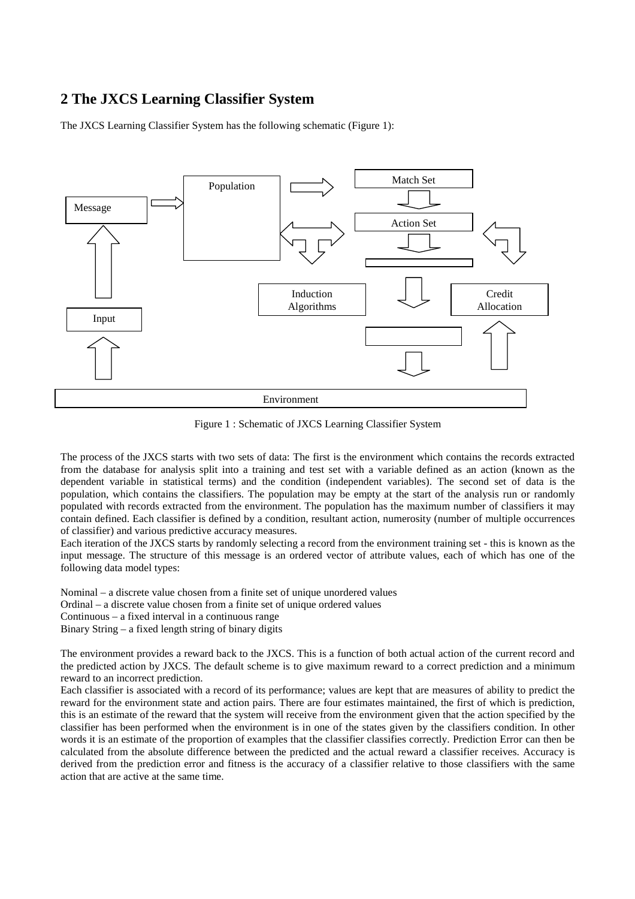## **2 The JXCS Learning Classifier System**

The JXCS Learning Classifier System has the following schematic (Figure 1):



Figure 1 : Schematic of JXCS Learning Classifier System

The process of the JXCS starts with two sets of data: The first is the environment which contains the records extracted from the database for analysis split into a training and test set with a variable defined as an action (known as the dependent variable in statistical terms) and the condition (independent variables). The second set of data is the population, which contains the classifiers. The population may be empty at the start of the analysis run or randomly populated with records extracted from the environment. The population has the maximum number of classifiers it may contain defined. Each classifier is defined by a condition, resultant action, numerosity (number of multiple occurrences of classifier) and various predictive accuracy measures.

Each iteration of the JXCS starts by randomly selecting a record from the environment training set - this is known as the input message. The structure of this message is an ordered vector of attribute values, each of which has one of the following data model types:

Nominal – a discrete value chosen from a finite set of unique unordered values

Ordinal – a discrete value chosen from a finite set of unique ordered values

Continuous – a fixed interval in a continuous range

Binary String – a fixed length string of binary digits

The environment provides a reward back to the JXCS. This is a function of both actual action of the current record and the predicted action by JXCS. The default scheme is to give maximum reward to a correct prediction and a minimum reward to an incorrect prediction.

Each classifier is associated with a record of its performance; values are kept that are measures of ability to predict the reward for the environment state and action pairs. There are four estimates maintained, the first of which is prediction, this is an estimate of the reward that the system will receive from the environment given that the action specified by the classifier has been performed when the environment is in one of the states given by the classifiers condition. In other words it is an estimate of the proportion of examples that the classifier classifies correctly. Prediction Error can then be calculated from the absolute difference between the predicted and the actual reward a classifier receives. Accuracy is derived from the prediction error and fitness is the accuracy of a classifier relative to those classifiers with the same action that are active at the same time.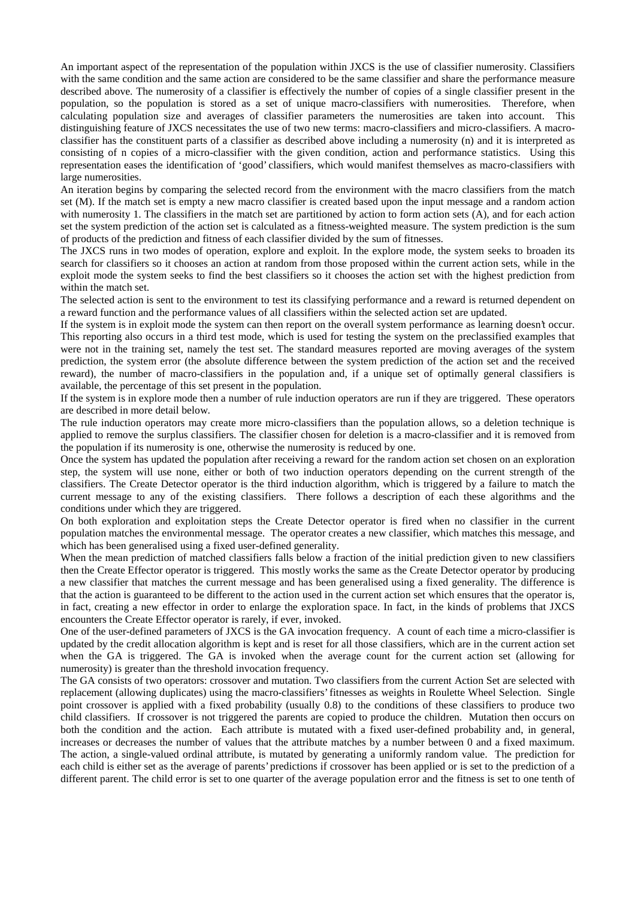An important aspect of the representation of the population within JXCS is the use of classifier numerosity. Classifiers with the same condition and the same action are considered to be the same classifier and share the performance measure described above. The numerosity of a classifier is effectively the number of copies of a single classifier present in the population, so the population is stored as a set of unique macro-classifiers with numerosities. Therefore, when calculating population size and averages of classifier parameters the numerosities are taken into account. This distinguishing feature of JXCS necessitates the use of two new terms: macro-classifiers and micro-classifiers. A macroclassifier has the constituent parts of a classifier as described above including a numerosity (n) and it is interpreted as consisting of n copies of a micro-classifier with the given condition, action and performance statistics. Using this representation eases the identification of 'good' classifiers, which would manifest themselves as macro-classifiers with large numerosities.

An iteration begins by comparing the selected record from the environment with the macro classifiers from the match set (M). If the match set is empty a new macro classifier is created based upon the input message and a random action with numerosity 1. The classifiers in the match set are partitioned by action to form action sets (A), and for each action set the system prediction of the action set is calculated as a fitness-weighted measure. The system prediction is the sum of products of the prediction and fitness of each classifier divided by the sum of fitnesses.

The JXCS runs in two modes of operation, explore and exploit. In the explore mode, the system seeks to broaden its search for classifiers so it chooses an action at random from those proposed within the current action sets, while in the exploit mode the system seeks to find the best classifiers so it chooses the action set with the highest prediction from within the match set.

The selected action is sent to the environment to test its classifying performance and a reward is returned dependent on a reward function and the performance values of all classifiers within the selected action set are updated.

If the system is in exploit mode the system can then report on the overall system performance as learning doesn't occur. This reporting also occurs in a third test mode, which is used for testing the system on the preclassified examples that were not in the training set, namely the test set. The standard measures reported are moving averages of the system prediction, the system error (the absolute difference between the system prediction of the action set and the received reward), the number of macro-classifiers in the population and, if a unique set of optimally general classifiers is available, the percentage of this set present in the population.

If the system is in explore mode then a number of rule induction operators are run if they are triggered. These operators are described in more detail below.

The rule induction operators may create more micro-classifiers than the population allows, so a deletion technique is applied to remove the surplus classifiers. The classifier chosen for deletion is a macro-classifier and it is removed from the population if its numerosity is one, otherwise the numerosity is reduced by one.

Once the system has updated the population after receiving a reward for the random action set chosen on an exploration step, the system will use none, either or both of two induction operators depending on the current strength of the classifiers. The Create Detector operator is the third induction algorithm, which is triggered by a failure to match the current message to any of the existing classifiers. There follows a description of each these algorithms and the conditions under which they are triggered.

On both exploration and exploitation steps the Create Detector operator is fired when no classifier in the current population matches the environmental message. The operator creates a new classifier, which matches this message, and which has been generalised using a fixed user-defined generality.

When the mean prediction of matched classifiers falls below a fraction of the initial prediction given to new classifiers then the Create Effector operator is triggered. This mostly works the same as the Create Detector operator by producing a new classifier that matches the current message and has been generalised using a fixed generality. The difference is that the action is guaranteed to be different to the action used in the current action set which ensures that the operator is, in fact, creating a new effector in order to enlarge the exploration space. In fact, in the kinds of problems that JXCS encounters the Create Effector operator is rarely, if ever, invoked.

One of the user-defined parameters of JXCS is the GA invocation frequency. A count of each time a micro-classifier is updated by the credit allocation algorithm is kept and is reset for all those classifiers, which are in the current action set when the GA is triggered. The GA is invoked when the average count for the current action set (allowing for numerosity) is greater than the threshold invocation frequency.

The GA consists of two operators: crossover and mutation. Two classifiers from the current Action Set are selected with replacement (allowing duplicates) using the macro-classifiers' fitnesses as weights in Roulette Wheel Selection. Single point crossover is applied with a fixed probability (usually 0.8) to the conditions of these classifiers to produce two child classifiers. If crossover is not triggered the parents are copied to produce the children. Mutation then occurs on both the condition and the action. Each attribute is mutated with a fixed user-defined probability and, in general, increases or decreases the number of values that the attribute matches by a number between 0 and a fixed maximum. The action, a single-valued ordinal attribute, is mutated by generating a uniformly random value. The prediction for each child is either set as the average of parents' predictions if crossover has been applied or is set to the prediction of a different parent. The child error is set to one quarter of the average population error and the fitness is set to one tenth of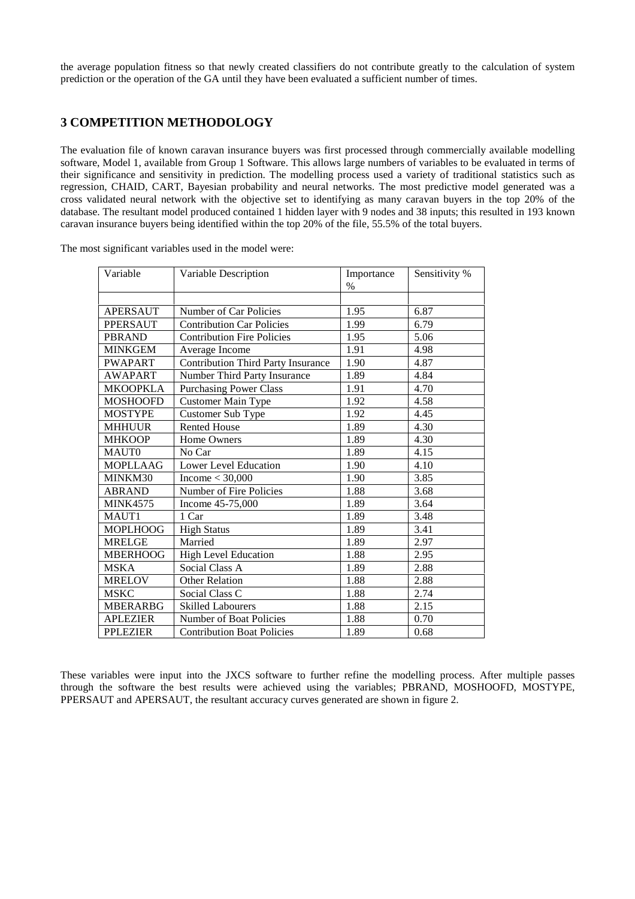the average population fitness so that newly created classifiers do not contribute greatly to the calculation of system prediction or the operation of the GA until they have been evaluated a sufficient number of times.

## **3 COMPETITION METHODOLOGY**

The evaluation file of known caravan insurance buyers was first processed through commercially available modelling software, Model 1, available from Group 1 Software. This allows large numbers of variables to be evaluated in terms of their significance and sensitivity in prediction. The modelling process used a variety of traditional statistics such as regression, CHAID, CART, Bayesian probability and neural networks. The most predictive model generated was a cross validated neural network with the objective set to identifying as many caravan buyers in the top 20% of the database. The resultant model produced contained 1 hidden layer with 9 nodes and 38 inputs; this resulted in 193 known caravan insurance buyers being identified within the top 20% of the file, 55.5% of the total buyers.

| Variable        | Variable Description                      | Importance | Sensitivity % |
|-----------------|-------------------------------------------|------------|---------------|
|                 |                                           | $\%$       |               |
|                 |                                           |            |               |
| <b>APERSAUT</b> | Number of Car Policies                    | 1.95       | 6.87          |
| <b>PPERSAUT</b> | <b>Contribution Car Policies</b>          | 1.99       | 6.79          |
| <b>PBRAND</b>   | <b>Contribution Fire Policies</b>         | 1.95       | 5.06          |
| <b>MINKGEM</b>  | Average Income                            | 1.91       | 4.98          |
| <b>PWAPART</b>  | <b>Contribution Third Party Insurance</b> | 1.90       | 4.87          |
| <b>AWAPART</b>  | Number Third Party Insurance              | 1.89       | 4.84          |
| <b>MKOOPKLA</b> | <b>Purchasing Power Class</b>             | 1.91       | 4.70          |
| <b>MOSHOOFD</b> | <b>Customer Main Type</b>                 | 1.92       | 4.58          |
| <b>MOSTYPE</b>  | Customer Sub Type                         | 1.92       | 4.45          |
| <b>MHHUUR</b>   | <b>Rented House</b>                       | 1.89       | 4.30          |
| <b>MHKOOP</b>   | Home Owners                               | 1.89       | 4.30          |
| MAUT0           | No Car                                    | 1.89       | 4.15          |
| <b>MOPLLAAG</b> | <b>Lower Level Education</b>              | 1.90       | 4.10          |
| MINKM30         | Income $<$ 30,000                         | 1.90       | 3.85          |
| <b>ABRAND</b>   | Number of Fire Policies                   | 1.88       | 3.68          |
| <b>MINK4575</b> | Income 45-75,000                          | 1.89       | 3.64          |
| MAUT1           | 1 Car                                     | 1.89       | 3.48          |
| <b>MOPLHOOG</b> | <b>High Status</b>                        | 1.89       | 3.41          |
| <b>MRELGE</b>   | Married                                   | 1.89       | 2.97          |
| <b>MBERHOOG</b> | <b>High Level Education</b>               | 1.88       | 2.95          |
| <b>MSKA</b>     | <b>Social Class A</b>                     | 1.89       | 2.88          |
| <b>MRELOV</b>   | <b>Other Relation</b>                     | 1.88       | 2.88          |
| <b>MSKC</b>     | Social Class C                            | 1.88       | 2.74          |
| <b>MBERARBG</b> | <b>Skilled Labourers</b>                  | 1.88       | 2.15          |
| <b>APLEZIER</b> | Number of Boat Policies                   | 1.88       | 0.70          |
| <b>PPLEZIER</b> | <b>Contribution Boat Policies</b>         | 1.89       | 0.68          |

The most significant variables used in the model were:

These variables were input into the JXCS software to further refine the modelling process. After multiple passes through the software the best results were achieved using the variables; PBRAND, MOSHOOFD, MOSTYPE, PPERSAUT and APERSAUT, the resultant accuracy curves generated are shown in figure 2.